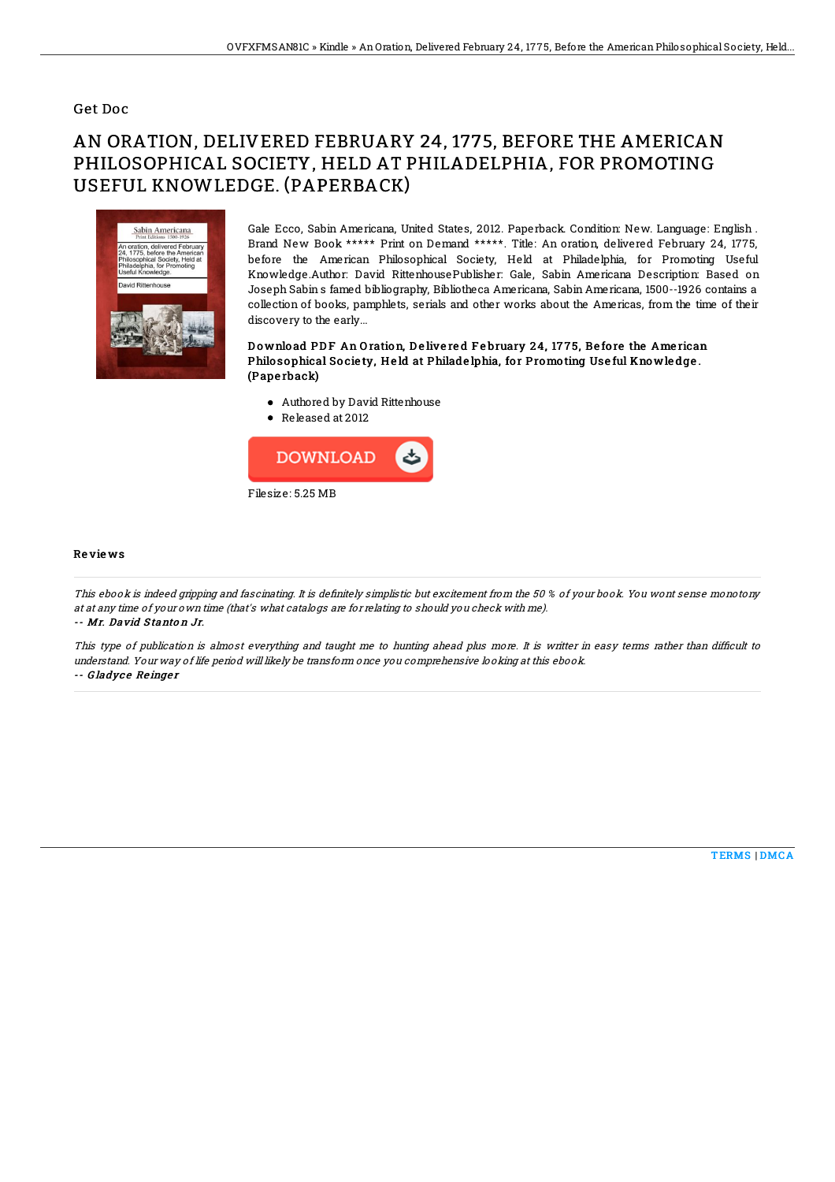## Get Doc

## AN ORATION, DELIVERED FEBRUARY 24, 1775, BEFORE THE AMERICAN PHILOSOPHICAL SOCIETY, HELD AT PHILADELPHIA, FOR PROMOTING USEFUL KNOWLEDGE. (PAPERBACK)



Gale Ecco, Sabin Americana, United States, 2012. Paperback. Condition: New. Language: English . Brand New Book \*\*\*\*\* Print on Demand \*\*\*\*\*. Title: An oration, delivered February 24, 1775, before the American Philosophical Society, Held at Philadelphia, for Promoting Useful Knowledge.Author: David RittenhousePublisher: Gale, Sabin Americana Description: Based on Joseph Sabin s famed bibliography, Bibliotheca Americana, Sabin Americana, 1500--1926 contains a collection of books, pamphlets, serials and other works about the Americas, from the time of their discovery to the early...

Download PDF An Oration, Delivered February 24, 1775, Before the American Philosophical Society, Held at Philadelphia, for Promoting Useful Knowledge. (Pape rback)

- Authored by David Rittenhouse
- Released at 2012



## Re vie ws

This ebook is indeed gripping and fascinating. It is definitely simplistic but excitement from the 50 % of your book. You wont sense monotony at at any time of your own time (that's what catalogs are for relating to should you check with me). -- Mr. David S tanto <sup>n</sup> Jr.

This type of publication is almost everything and taught me to hunting ahead plus more. It is writter in easy terms rather than difficult to understand. Your way of life period will likely be transform once you comprehensive looking at this ebook. -- Gladyce Reinger